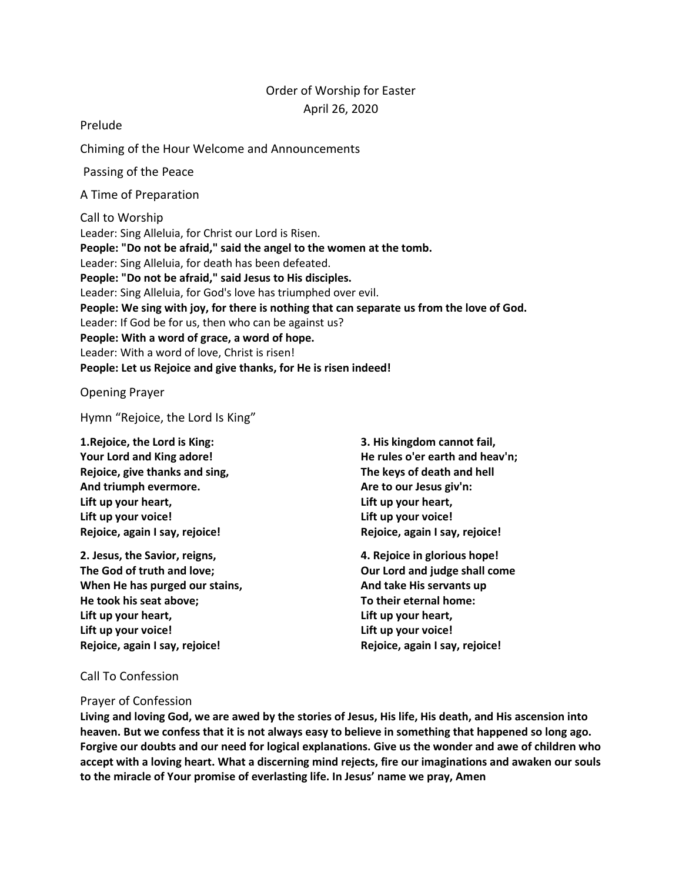# Order of Worship for Easter April 26, 2020

Prelude

Chiming of the Hour Welcome and Announcements

Passing of the Peace

A Time of Preparation

Call to Worship Leader: Sing Alleluia, for Christ our Lord is Risen. **People: "Do not be afraid," said the angel to the women at the tomb.** Leader: Sing Alleluia, for death has been defeated. **People: "Do not be afraid," said Jesus to His disciples.** Leader: Sing Alleluia, for God's love has triumphed over evil. **People: We sing with joy, for there is nothing that can separate us from the love of God.** Leader: If God be for us, then who can be against us? **People: With a word of grace, a word of hope.** Leader: With a word of love, Christ is risen! **People: Let us Rejoice and give thanks, for He is risen indeed!**

Opening Prayer

Hymn "Rejoice, the Lord Is King"

**1.Rejoice, the Lord is King: Your Lord and King adore! Rejoice, give thanks and sing, And triumph evermore. Lift up your heart, Lift up your voice! Rejoice, again I say, rejoice!**

**2. Jesus, the Savior, reigns, The God of truth and love; When He has purged our stains, He took his seat above; Lift up your heart, Lift up your voice! Rejoice, again I say, rejoice!**

**3. His kingdom cannot fail, He rules o'er earth and heav'n; The keys of death and hell Are to our Jesus giv'n: Lift up your heart, Lift up your voice! Rejoice, again I say, rejoice!**

**4. Rejoice in glorious hope! Our Lord and judge shall come And take His servants up To their eternal home: Lift up your heart, Lift up your voice! Rejoice, again I say, rejoice!**

## Call To Confession

## Prayer of Confession

**Living and loving God, we are awed by the stories of Jesus, His life, His death, and His ascension into heaven. But we confess that it is not always easy to believe in something that happened so long ago. Forgive our doubts and our need for logical explanations. Give us the wonder and awe of children who accept with a loving heart. What a discerning mind rejects, fire our imaginations and awaken our souls to the miracle of Your promise of everlasting life. In Jesus' name we pray, Amen**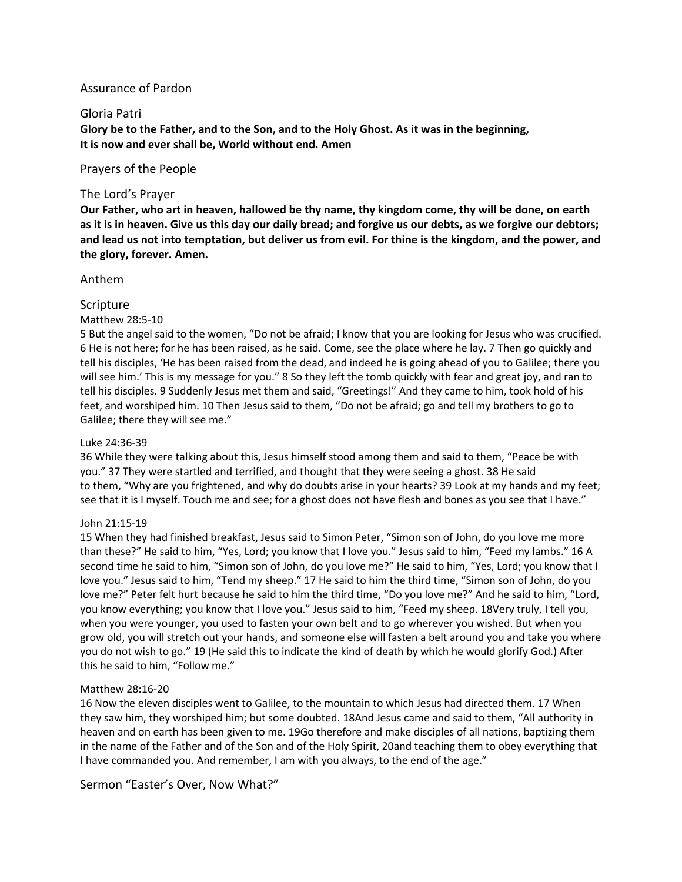## Assurance of Pardon

## Gloria Patri

**Glory be to the Father, and to the Son, and to the Holy Ghost. As it was in the beginning, It is now and ever shall be, World without end. Amen**

Prayers of the People

## The Lord's Prayer

**Our Father, who art in heaven, hallowed be thy name, thy kingdom come, thy will be done, on earth as it is in heaven. Give us this day our daily bread; and forgive us our debts, as we forgive our debtors; and lead us not into temptation, but deliver us from evil. For thine is the kingdom, and the power, and the glory, forever. Amen.**

## Anthem

## Scripture

## Matthew 28:5-10

5 But the angel said to the women, "Do not be afraid; I know that you are looking for Jesus who was crucified. 6 He is not here; for he has been raised, as he said. Come, see the place where he lay. 7 Then go quickly and tell his disciples, 'He has been raised from the dead, and indeed he is going ahead of you to Galilee; there you will see him.' This is my message for you." 8 So they left the tomb quickly with fear and great joy, and ran to tell his disciples. 9 Suddenly Jesus met them and said, "Greetings!" And they came to him, took hold of his feet, and worshiped him. 10 Then Jesus said to them, "Do not be afraid; go and tell my brothers to go to Galilee; there they will see me."

#### Luke 24:36-39

36 While they were talking about this, Jesus himself stood among them and said to them, "Peace be with you." 37 They were startled and terrified, and thought that they were seeing a ghost. 38 He said to them, "Why are you frightened, and why do doubts arise in your hearts? 39 Look at my hands and my feet; see that it is I myself. Touch me and see; for a ghost does not have flesh and bones as you see that I have."

#### John 21:15-19

15 When they had finished breakfast, Jesus said to Simon Peter, "Simon son of John, do you love me more than these?" He said to him, "Yes, Lord; you know that I love you." Jesus said to him, "Feed my lambs." 16 A second time he said to him, "Simon son of John, do you love me?" He said to him, "Yes, Lord; you know that I love you." Jesus said to him, "Tend my sheep." 17 He said to him the third time, "Simon son of John, do you love me?" Peter felt hurt because he said to him the third time, "Do you love me?" And he said to him, "Lord, you know everything; you know that I love you." Jesus said to him, "Feed my sheep. 18Very truly, I tell you, when you were younger, you used to fasten your own belt and to go wherever you wished. But when you grow old, you will stretch out your hands, and someone else will fasten a belt around you and take you where you do not wish to go." 19 (He said this to indicate the kind of death by which he would glorify God.) After this he said to him, "Follow me."

#### Matthew 28:16-20

16 Now the eleven disciples went to Galilee, to the mountain to which Jesus had directed them. 17 When they saw him, they worshiped him; but some doubted. 18And Jesus came and said to them, "All authority in heaven and on earth has been given to me. 19Go therefore and make disciples of all nations, baptizing them in the name of the Father and of the Son and of the Holy Spirit, 20and teaching them to obey everything that I have commanded you. And remember, I am with you always, to the end of the age."

Sermon "Easter's Over, Now What?"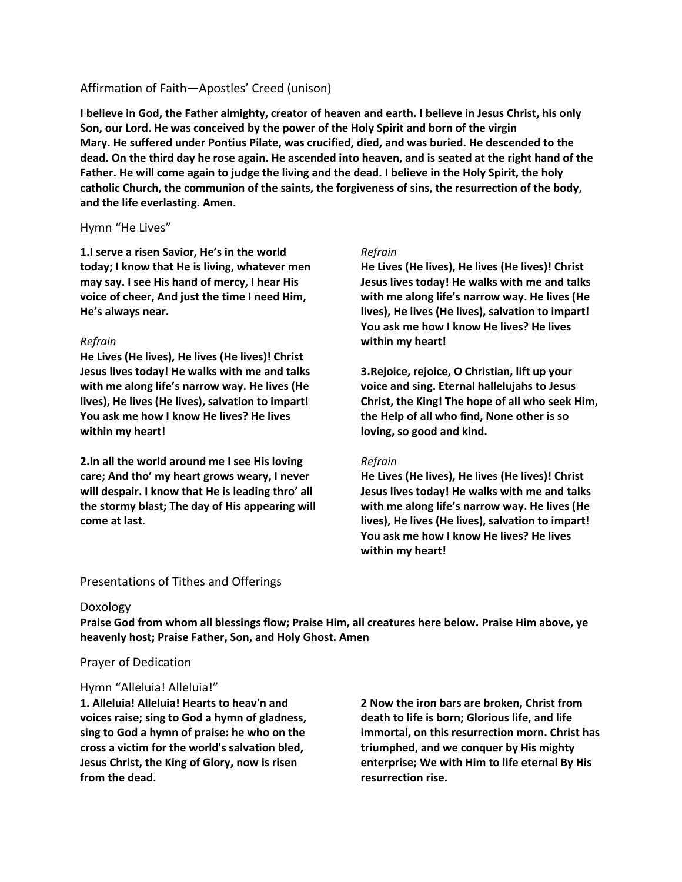## Affirmation of Faith—Apostles' Creed (unison)

**I believe in God, the Father almighty, creator of heaven and earth. I believe in Jesus Christ, his only Son, our Lord. He was conceived by the power of the Holy Spirit and born of the virgin Mary. He suffered under Pontius Pilate, was crucified, died, and was buried. He descended to the dead. On the third day he rose again. He ascended into heaven, and is seated at the right hand of the Father. He will come again to judge the living and the dead. I believe in the Holy Spirit, the holy catholic Church, the communion of the saints, the forgiveness of sins, the resurrection of the body, and the life everlasting. Amen.**

## Hymn "He Lives"

**1.I serve a risen Savior, He's in the world today; I know that He is living, whatever men may say. I see His hand of mercy, I hear His voice of cheer, And just the time I need Him, He's always near.**

## *Refrain*

**He Lives (He lives), He lives (He lives)! Christ Jesus lives today! He walks with me and talks with me along life's narrow way. He lives (He lives), He lives (He lives), salvation to impart! You ask me how I know He lives? He lives within my heart!**

**2.In all the world around me I see His loving care; And tho' my heart grows weary, I never will despair. I know that He is leading thro' all the stormy blast; The day of His appearing will come at last.**

## *Refrain*

**He Lives (He lives), He lives (He lives)! Christ Jesus lives today! He walks with me and talks with me along life's narrow way. He lives (He lives), He lives (He lives), salvation to impart! You ask me how I know He lives? He lives within my heart!**

**3.Rejoice, rejoice, O Christian, lift up your voice and sing. Eternal hallelujahs to Jesus Christ, the King! The hope of all who seek Him, the Help of all who find, None other is so loving, so good and kind.**

## *Refrain*

**He Lives (He lives), He lives (He lives)! Christ Jesus lives today! He walks with me and talks with me along life's narrow way. He lives (He lives), He lives (He lives), salvation to impart! You ask me how I know He lives? He lives within my heart!**

# Presentations of Tithes and Offerings

## Doxology

**Praise God from whom all blessings flow; Praise Him, all creatures here below. Praise Him above, ye heavenly host; Praise Father, Son, and Holy Ghost. Amen**

## Prayer of Dedication

## Hymn "Alleluia! Alleluia!"

**1. Alleluia! Alleluia! Hearts to heav'n and voices raise; sing to God a hymn of gladness, sing to God a hymn of praise: he who on the cross a victim for the world's salvation bled, Jesus Christ, the King of Glory, now is risen from the dead.**

**2 Now the iron bars are broken, Christ from death to life is born; Glorious life, and life immortal, on this resurrection morn. Christ has triumphed, and we conquer by His mighty enterprise; We with Him to life eternal By His resurrection rise.**